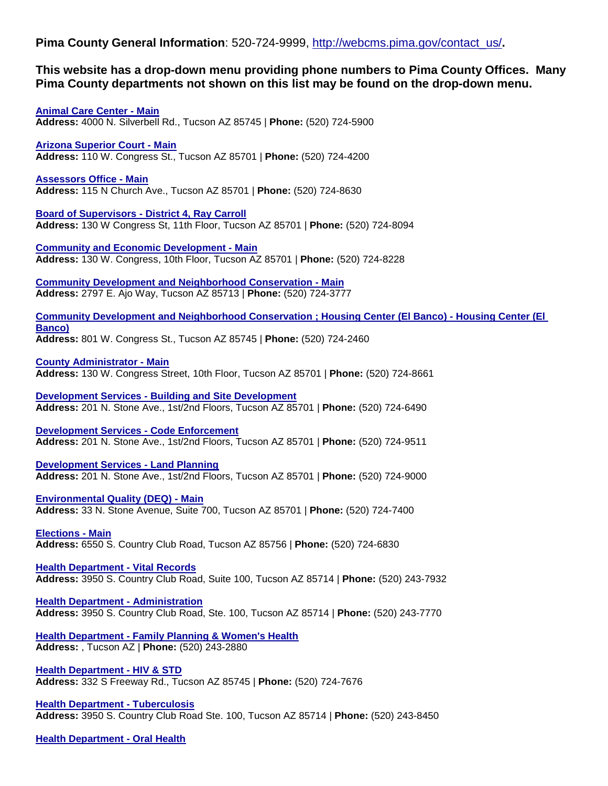Pima County General Information: 520-724-9999, [http://webcms.pima.gov/contact\\_us/](http://webcms.pima.gov/contact_us/).

## **This website has a drop-down menu providing phone numbers to Pima County Offices. Many Pima County departments not shown on this list may be found on the drop-down menu.**

**[Animal Care Center -](http://webcms.pima.gov/community/animal_care/) Main Address:** 4000 N. Silverbell Rd., Tucson AZ 85745 | **Phone:** (520) 724-5900

**[Arizona Superior Court -](http://www.sc.pima.gov/) Main Address:** 110 W. Congress St., Tucson AZ 85701 | **Phone:** (520) 724-4200

**[Assessors Office -](http://www.asr.pima.gov/) Main Address:** 115 N Church Ave., Tucson AZ 85701 | **Phone:** (520) 724-8630

**[Board of Supervisors -](http://webcms.pima.gov/cms/One.aspx?portalId=169&pageId=6242) District 4, Ray Carroll Address:** 130 W Congress St, 11th Floor, Tucson AZ 85701 | **Phone:** (520) 724-8094

**[Community and Economic Development -](http://webcms.pima.gov/cms/one.aspx?portalId=169&pageId=18643) Main Address:** 130 W. Congress, 10th Floor, Tucson AZ 85701 | **Phone:** (520) 724-8228

**[Community Development and Neighborhood Conservation -](http://webcms.pima.gov/cms/one.aspx?portalId=169&pageId=18389) Main Address:** 2797 E. Ajo Way, Tucson AZ 85713 | **Phone:** (520) 724-3777

**[Community Development and Neighborhood Conservation ; Housing Center \(El Banco\) -](http://webcms.pima.gov/cms/one.aspx?portalId=169&pageId=23529) Housing Center (El [Banco\)](http://webcms.pima.gov/cms/one.aspx?portalId=169&pageId=23529)**

**Address:** 801 W. Congress St., Tucson AZ 85745 | **Phone:** (520) 724-2460

**[County Administrator -](http://webcms.pima.gov/cms/one.aspx?portalId=169&pageId=551) Main**

**Address:** 130 W. Congress Street, 10th Floor, Tucson AZ 85701 | **Phone:** (520) 724-8661

**Development Services - [Building and Site Development](http://webcms.pima.gov/cms/One.aspx?portalId=169&pageId=61259) Address:** 201 N. Stone Ave., 1st/2nd Floors, Tucson AZ 85701 | **Phone:** (520) 724-6490

**[Development Services -](http://webcms.pima.gov/cms/One.aspx?portalId=169&pageId=60733) Code Enforcement Address:** 201 N. Stone Ave., 1st/2nd Floors, Tucson AZ 85701 | **Phone:** (520) 724-9511

**[Development Services -](http://webcms.pima.gov/cms/One.aspx?portalId=169&pageId=60739) Land Planning Address:** 201 N. Stone Ave., 1st/2nd Floors, Tucson AZ 85701 | **Phone:** (520) 724-9000

**[Environmental Quality \(DEQ\) -](http://webcms.pima.gov/government/environmental_quality/) Main Address:** 33 N. Stone Avenue, Suite 700, Tucson AZ 85701 | **Phone:** (520) 724-7400

**[Elections -](http://webcms.pima.gov/government/elections_department/) Main Address:** 6550 S. Country Club Road, Tucson AZ 85756 | **Phone:** (520) 724-6830

**[Health Department -](http://webcms.pima.gov/health/personal_records/birth_death_certificates/) Vital Records Address:** 3950 S. Country Club Road, Suite 100, Tucson AZ 85714 | **Phone:** (520) 243-7932

**[Health Department -](http://webcms.pima.gov/government/health_department/) Administration Address:** 3950 S. Country Club Road, Ste. 100, Tucson AZ 85714 | **Phone:** (520) 243-7770

**Health Department - [Family Planning & Women's Health](https://webcms.pima.gov/health/preventive_health/womens_health_services_and_family_planning/) Address:** , Tucson AZ | **Phone:** (520) 243-2880

**[Health Department -](http://webcms.pima.gov/health/sexual_health/hiv_and_std/) HIV & STD Address:** 332 S Freeway Rd., Tucson AZ 85745 | **Phone:** (520) 724-7676

**[Health Department -](http://webcms.pima.gov/health/preventive_health/disease_control/) Tuberculosis Address:** 3950 S. Country Club Road Ste. 100, Tucson AZ 85714 | **Phone:** (520) 243-8450

**[Health Department -](http://webcms.pima.gov/cms/one.aspx?portalId=169&pageId=815) Oral Health**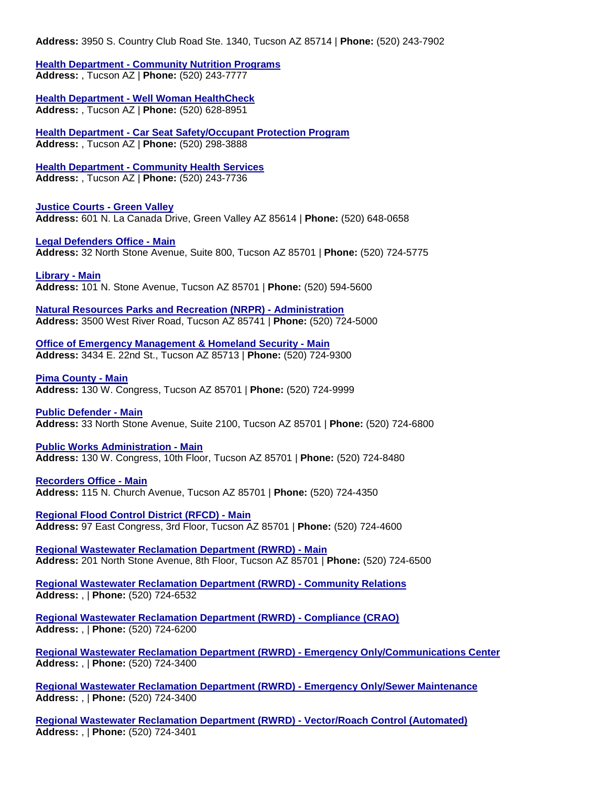## **Health Department - [Community Nutrition Programs](http://webcms.pima.gov/health/preventive_health/community_nutrition_programs/) Address:** , Tucson AZ | **Phone:** (520) 243-7777

**Health Department - [Well Woman HealthCheck](http://webcms.pima.gov/cms/one.aspx?portalId=169&pageId=819) Address:** , Tucson AZ | **Phone:** (520) 628-8951

**Health Department - [Car Seat Safety/Occupant Protection Program](http://webcms.pima.gov/government/health_department/) Address:** , Tucson AZ | **Phone:** (520) 298-3888

**Health Department - [Community Health Services](http://webcms.pima.gov/government/health_department/)**

**Address:** , Tucson AZ | **Phone:** (520) 243-7736

**[Justice Courts -](http://www.pima.gov/gv/) Green Valley Address:** 601 N. La Canada Drive, Green Valley AZ 85614 | **Phone:** (520) 648-0658

**[Legal Defenders Office -](http://webcms.pima.gov/government/legal_defender) Main Address:** 32 North Stone Avenue, Suite 800, Tucson AZ 85701 | **Phone:** (520) 724-5775

**[Library -](http://www.library.pima.gov/) Main Address:** 101 N. Stone Avenue, Tucson AZ 85701 | **Phone:** (520) 594-5600

**[Natural Resources Parks and Recreation \(NRPR\) -](http://webcms.pima.gov/cms/one.aspx?portalId=169&pageId=18489) Administration Address:** 3500 West River Road, Tucson AZ 85741 | **Phone:** (520) 724-5000

**[Office of Emergency Management & Homeland Security -](http://webcms.pima.gov/government/office_of_emergency_management_homeland_security/) Main Address:** 3434 E. 22nd St., Tucson AZ 85713 | **Phone:** (520) 724-9300

**[Pima County -](http://webcms.pima.gov/) Main Address:** 130 W. Congress, Tucson AZ 85701 | **Phone:** (520) 724-9999

**[Public Defender -](http://www.pima.gov/publicdefender/) Main Address:** 33 North Stone Avenue, Suite 2100, Tucson AZ 85701 | **Phone:** (520) 724-6800

**[Public Works Administration -](http://webcms.pima.gov/cms/One.aspx?portalId=169&pageId=80202) Main Address:** 130 W. Congress, 10th Floor, Tucson AZ 85701 | **Phone:** (520) 724-8480

**[Recorders Office -](http://www.recorder.pima.gov/) Main Address:** 115 N. Church Avenue, Tucson AZ 85701 | **Phone:** (520) 724-4350

**[Regional Flood Control District \(RFCD\) -](http://webcms.pima.gov/cms/One.aspx?portalId=169&pageId=55046) Main Address:** 97 East Congress, 3rd Floor, Tucson AZ 85701 | **Phone:** (520) 724-4600

**[Regional Wastewater Reclamation Department \(RWRD\) -](http://webcms.pima.gov/cms/One.aspx?portalId=169&pageId=51755) Main Address:** 201 North Stone Avenue, 8th Floor, Tucson AZ 85701 | **Phone:** (520) 724-6500

**[Regional Wastewater Reclamation Department \(RWRD\) -](http://webcms.pima.gov/cms/one.aspx?portalId=169&pageId=52334) Community Relations Address:** , | **Phone:** (520) 724-6532

**[Regional Wastewater Reclamation Department \(RWRD\) -](http://webcms.pima.gov/cms/one.aspx?portalId=169&pageId=53138) Compliance (CRAO) Address:** , | **Phone:** (520) 724-6200

**[Regional Wastewater Reclamation Department \(RWRD\) -](http://webcms.pima.gov/cms/One.aspx?portalId=169&pageId=51755) Emergency Only/Communications Center Address:** , | **Phone:** (520) 724-3400

**[Regional Wastewater Reclamation Department \(RWRD\) -](http://webcms.pima.gov/cms/One.aspx?portalId=169&pageId=51755) Emergency Only/Sewer Maintenance Address:** , | **Phone:** (520) 724-3400

**[Regional Wastewater Reclamation Department \(RWRD\) -](http://webcms.pima.gov/cms/one.aspx?portalId=169&pageId=53153) Vector/Roach Control (Automated) Address:** , | **Phone:** (520) 724-3401